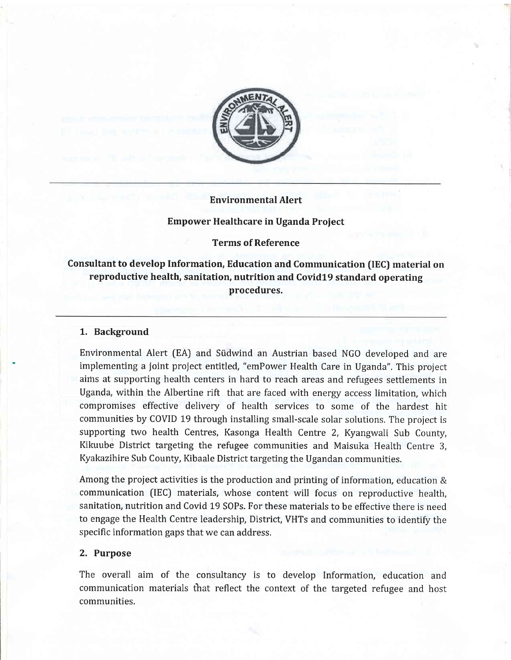

# Environmental Alert

### Empower Healthcare in Uganda Proiect

### Terms of Reference

# Consultant to develop Information, Education and Communication (IEC) material on reproductive health, sanitation, nutrition and Covid19 standard operating procedures.

### 1. Background

Environmental Alert (EA) and Siidwind an Austrian based NGO developed and are implementing a joint project entitled, "emPower Health Care in Uganda", This project airhs at supporting health centers in hard to reach areas and refugees settlements in Uganda, within the Albertine rift that are faced with energy access limitation, which compromises effective delivery of health services to some of the hardest hit communities by COVID 19 through installing small-scale solar solutions. The project is supporting two health Centres, Kasonga Health Centre 2, Kyangwali Sub County, Kikuube District targeting the refugee communities and Maisuka Health Centre 3, Kyakazihire Sub County, Kibaale District targeting the Ugandan communities,

Among the project activities is the production and printing of information, education & communication (lEC) materials, whose content will focus on reproductive health, sanitation, nutrition and Covid L9 SOPs. For these materials to be effective there is need to engage the Health Centre leadership, District, VHTs and communities to identify the specific information gaps that we can address.

### 2. Purpose

The overall aim of the consultancy is to develop Information, education and communication materials that reflect the context of the targeted refugee and host communities.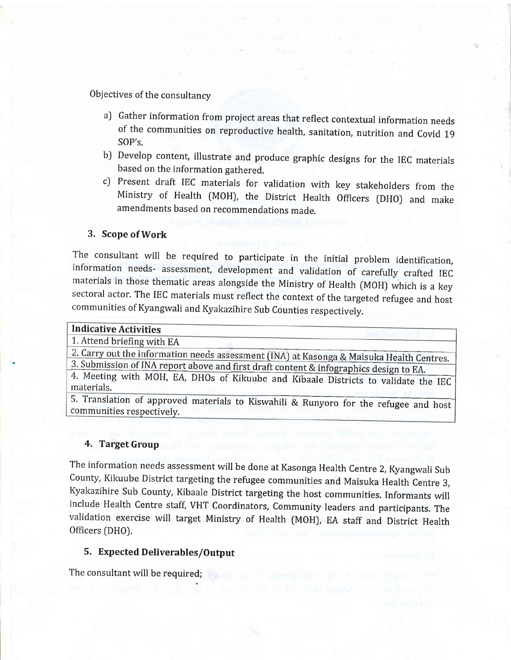Objectives of the consultancy

- al Gather information from project areas that reflect contextual information needs of the communities on reproductive health, sanitation, nutrition and Covid <sup>19</sup> SOP's.
- b) Develop content, illustrate and produce graphic designs for the IEC materials based on the information gathered.
- cJ Present draft IEC materials for validation with key stakeholders from the Ministry of Health (MOH), the District Health Officers (DHO) and make amendments based on recommendations made.

### 3. Scope of Work

The consultant will be required to participate in the initial problem identification, information needs- assessment, development and validation of carefully crafted IEC materials in those thematic areas alongside the Minis sectoral actor. The IEC materials must reflect the context of the targeted refugee and host communities of Kyangwali and Kyakazihire Sub Counties respectively.

#### Indicative Activities

1. Attend briefing with EA

information needs assessment (INA) at Kasonga & Maisuka Health Centres.<br>FINA report above and first du funk is a second & Maisuka Health Centres.

3. Submission of INA report above and first draft content & infographics design to EA.<br>4. Meeting with MOH, EA, DHOs of Kikuube and Kibaale Districts to validate the IEC materials.

5. Translation of approved materials to Kiswahili & Runyoro for the refugee and host communities respectivelv.

# 4. Target Group

The information needs assessment will be done at Kasonga Health Centre 2, Kyangwali Sub County, Kikuube District targeting the refugee communities and Maisuka Health Centre 3, Kyakazihire Sub County, Kibaale District targeting the host communities. Informants will include Health Centre staff, VHT Coordinators, Community leaders and participants. The validation exercise will target Ministry of Health (MOH), EA staff and District Health Officers (DHO).

# 5. Expected Deliverables/Output

The consultant will be required;